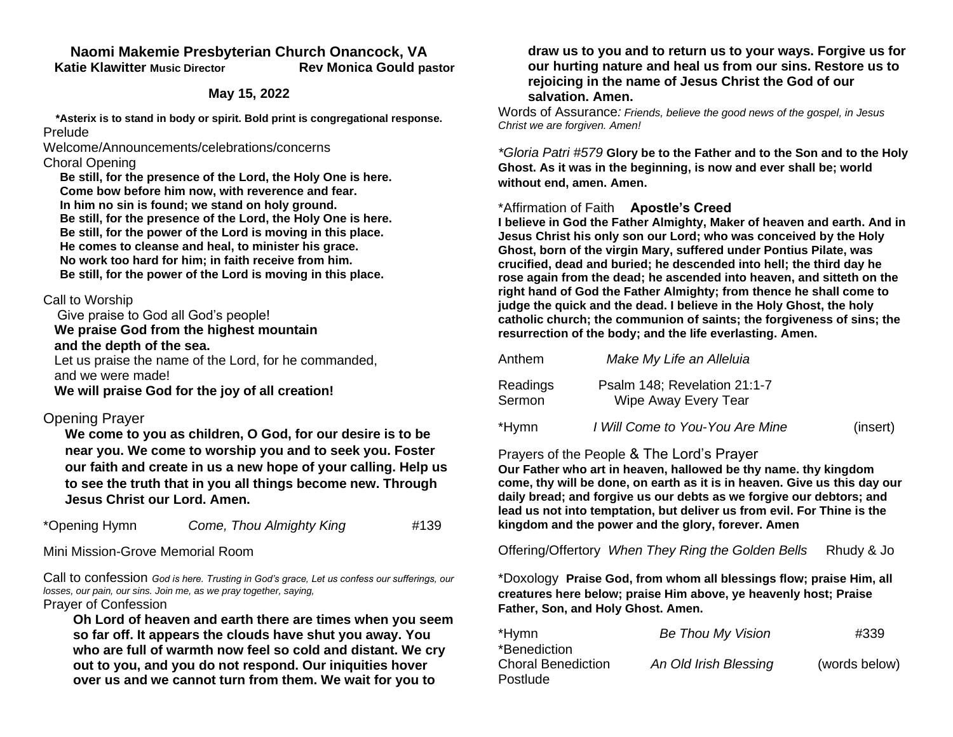## **Naomi Makemie Presbyterian Church Onancock, VA Katie Klawitter Music Director Rev Monica Gould pastor**

### **May 15, 2022**

**\*Asterix is to stand in body or spirit. Bold print is congregational response.** Prelude

Welcome/Announcements/celebrations/concerns Choral Opening

 **Be still, for the presence of the Lord, the Holy One is here. Come bow before him now, with reverence and fear. In him no sin is found; we stand on holy ground. Be still, for the presence of the Lord, the Holy One is here. Be still, for the power of the Lord is moving in this place. He comes to cleanse and heal, to minister his grace. No work too hard for him; in faith receive from him. Be still, for the power of the Lord is moving in this place.**

### Call to Worship

 Give praise to God all God's people!  **We praise God from the highest mountain and the depth of the sea.** Let us praise the name of the Lord, for he commanded,

and we were made!

 **We will praise God for the joy of all creation!**

# Opening Prayer

**We come to you as children, O God, for our desire is to be near you. We come to worship you and to seek you. Foster our faith and create in us a new hope of your calling. Help us to see the truth that in you all things become new. Through Jesus Christ our Lord. Amen.** 

| *Opening Hymn | Come, Thou Almighty King | #139 |
|---------------|--------------------------|------|
|---------------|--------------------------|------|

Mini Mission-Grove Memorial Room

Call to confession *God is here. Trusting in God's grace, Let us confess our sufferings, our losses, our pain, our sins. Join me, as we pray together, saying,*

Prayer of Confession

**Oh Lord of heaven and earth there are times when you seem so far off. It appears the clouds have shut you away. You who are full of warmth now feel so cold and distant. We cry out to you, and you do not respond. Our iniquities hover over us and we cannot turn from them. We wait for you to** 

### **draw us to you and to return us to your ways. Forgive us for our hurting nature and heal us from our sins. Restore us to rejoicing in the name of Jesus Christ the God of our salvation. Amen.**

Words of Assurance*: Friends, believe the good news of the gospel, in Jesus Christ we are forgiven. Amen!*

*\*Gloria Patri #579* **Glory be to the Father and to the Son and to the Holy Ghost. As it was in the beginning, is now and ever shall be; world without end, amen. Amen.** 

### \*Affirmation of Faith **Apostle's Creed**

**I believe in God the Father Almighty, Maker of heaven and earth. And in Jesus Christ his only son our Lord; who was conceived by the Holy Ghost, born of the virgin Mary, suffered under Pontius Pilate, was crucified, dead and buried; he descended into hell; the third day he rose again from the dead; he ascended into heaven, and sitteth on the right hand of God the Father Almighty; from thence he shall come to judge the quick and the dead. I believe in the Holy Ghost, the holy catholic church; the communion of saints; the forgiveness of sins; the resurrection of the body; and the life everlasting. Amen.**

| Anthem             | Make My Life an Alleluia                             |          |
|--------------------|------------------------------------------------------|----------|
| Readings<br>Sermon | Psalm 148; Revelation 21:1-7<br>Wipe Away Every Tear |          |
| *Hymn              | I Will Come to You-You Are Mine                      | (insert) |

# Prayers of the People & The Lord's Prayer

**Our Father who art in heaven, hallowed be thy name. thy kingdom come, thy will be done, on earth as it is in heaven. Give us this day our daily bread; and forgive us our debts as we forgive our debtors; and lead us not into temptation, but deliver us from evil. For Thine is the kingdom and the power and the glory, forever. Amen**

Offering/Offertory *When They Ring the Golden Bells* Rhudy & Jo

\*Doxology **Praise God, from whom all blessings flow; praise Him, all creatures here below; praise Him above, ye heavenly host; Praise Father, Son, and Holy Ghost. Amen.** 

| *Hymn                     | Be Thou My Vision     | #339          |
|---------------------------|-----------------------|---------------|
| *Benediction              |                       |               |
| <b>Choral Benediction</b> | An Old Irish Blessing | (words below) |
| Postlude                  |                       |               |